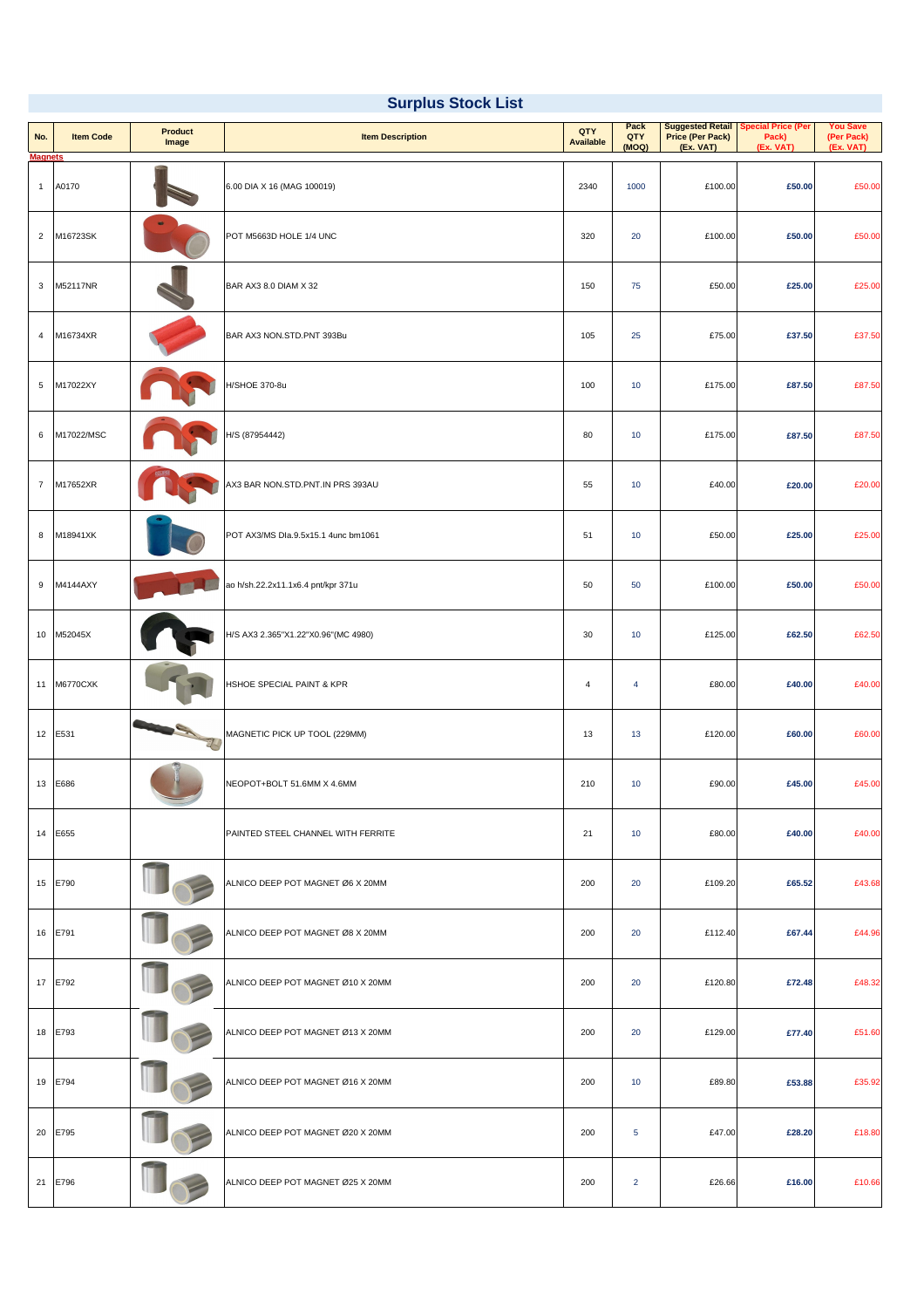| No.<br><b>Magnets</b> | <b>Item Code</b> | <b>Product</b><br>Image        | <b>Item Description</b>                   | <b>QTY</b><br><b>Available</b> | <b>Pack</b><br><b>QTY</b><br>(MOQ) | <b>Price (Per Pack)</b><br>(Ex. VAT) | <b>Suggested Retail   Special Price (Per</b><br>Pack)<br>(Ex. VAT) | <b>You Save</b><br>(Per Pack)<br>(Ex. VAT) |
|-----------------------|------------------|--------------------------------|-------------------------------------------|--------------------------------|------------------------------------|--------------------------------------|--------------------------------------------------------------------|--------------------------------------------|
| $\overline{1}$        | A0170            |                                | 6.00 DIA X 16 (MAG 100019)                | 2340                           | 1000                               | £100.00                              | £50.00                                                             | £50.00                                     |
| $\overline{2}$        | M16723SK         |                                | POT M5663D HOLE 1/4 UNC                   | 320                            | 20                                 | £100.00                              | £50.00                                                             | £50.00                                     |
| $\mathbf{3}$          | M52117NR         |                                | BAR AX3 8.0 DIAM X 32                     | 150                            | 75                                 | £50.00                               | £25.00                                                             | £25.00                                     |
| $\overline{4}$        | M16734XR         |                                | BAR AX3 NON.STD.PNT 393Bu                 | 105                            | 25                                 | £75.00                               | £37.50                                                             | £37.50                                     |
| $5\phantom{.0}$       | M17022XY         |                                | H/SHOE 370-8u                             | 100                            | 10                                 | £175.00                              | £87.50                                                             | £87.50                                     |
| 6                     | M17022/MSC       |                                | H/S (87954442)                            | 80                             | 10                                 | £175.00                              | £87.50                                                             | £87.50                                     |
| $\overline{7}$        | M17652XR         |                                | AX3 BAR NON.STD.PNT.IN PRS 393AU          | 55                             | 10                                 | £40.00                               | £20.00                                                             | £20.00                                     |
| 8                     | M18941XK         |                                | POT AX3/MS Dla.9.5x15.1 4unc bm1061       | 51                             | 10                                 | £50.00                               | £25.00                                                             | £25.00                                     |
| 9                     | M4144AXY         |                                | ao h/sh.22.2x11.1x6.4 pnt/kpr 371u        | 50                             | 50                                 | £100.00                              | £50.00                                                             | £50.00                                     |
| 10                    | M52045X          |                                | H/S AX3 2.365"X1.22"X0.96" (MC 4980)      | 30                             | 10                                 | £125.00                              | £62.50                                                             | £62.50                                     |
|                       | 11 M6770CXK      |                                | HSHOE SPECIAL PAINT & KPR                 | 4                              | 4                                  | £80.00                               | £40.00                                                             | £40.00                                     |
| 12                    | E531             | -7<br>$\overline{\phantom{0}}$ | MAGNETIC PICK UP TOOL (229MM)             | 13                             | 13                                 | £120.00                              | £60.00                                                             | £60.00                                     |
| 13                    | E686             |                                | NEOPOT+BOLT 51.6MM X 4.6MM                | 210                            | 10                                 | £90.00                               | £45.00                                                             | £45.00                                     |
| 14                    | E655             |                                | <b>PAINTED STEEL CHANNEL WITH FERRITE</b> | 21                             | 10                                 | £80.00                               | £40.00                                                             | £40.00                                     |
| 15                    | E790             |                                | ALNICO DEEP POT MAGNET Ø6 X 20MM          | 200                            | 20                                 | £109.20                              | £65.52                                                             | £43.68                                     |
| 16                    | E791             |                                | ALNICO DEEP POT MAGNET Ø8 X 20MM          | 200                            | 20                                 | £112.40                              | £67.44                                                             | £44.96                                     |
| 17                    | E792             |                                | ALNICO DEEP POT MAGNET Ø10 X 20MM         | 200                            | 20                                 | £120.80                              | £72.48                                                             | £48.32                                     |
| 18                    | E793             |                                | ALNICO DEEP POT MAGNET Ø13 X 20MM         | 200                            | 20                                 | £129.00                              | £77.40                                                             | £51.60                                     |
| 19                    | E794             |                                | ALNICO DEEP POT MAGNET Ø16 X 20MM         | 200                            | 10                                 | £89.80                               | £53.88                                                             | £35.92                                     |
| 20                    | E795             |                                | ALNICO DEEP POT MAGNET Ø20 X 20MM         | 200                            | $5\overline{)}$                    | £47.00                               | £28.20                                                             | £18.80                                     |
| 21                    | E796             |                                | ALNICO DEEP POT MAGNET Ø25 X 20MM         | 200                            | $\overline{2}$                     | £26.66                               | £16.00                                                             | £10.66                                     |

# **Surplus Stock List**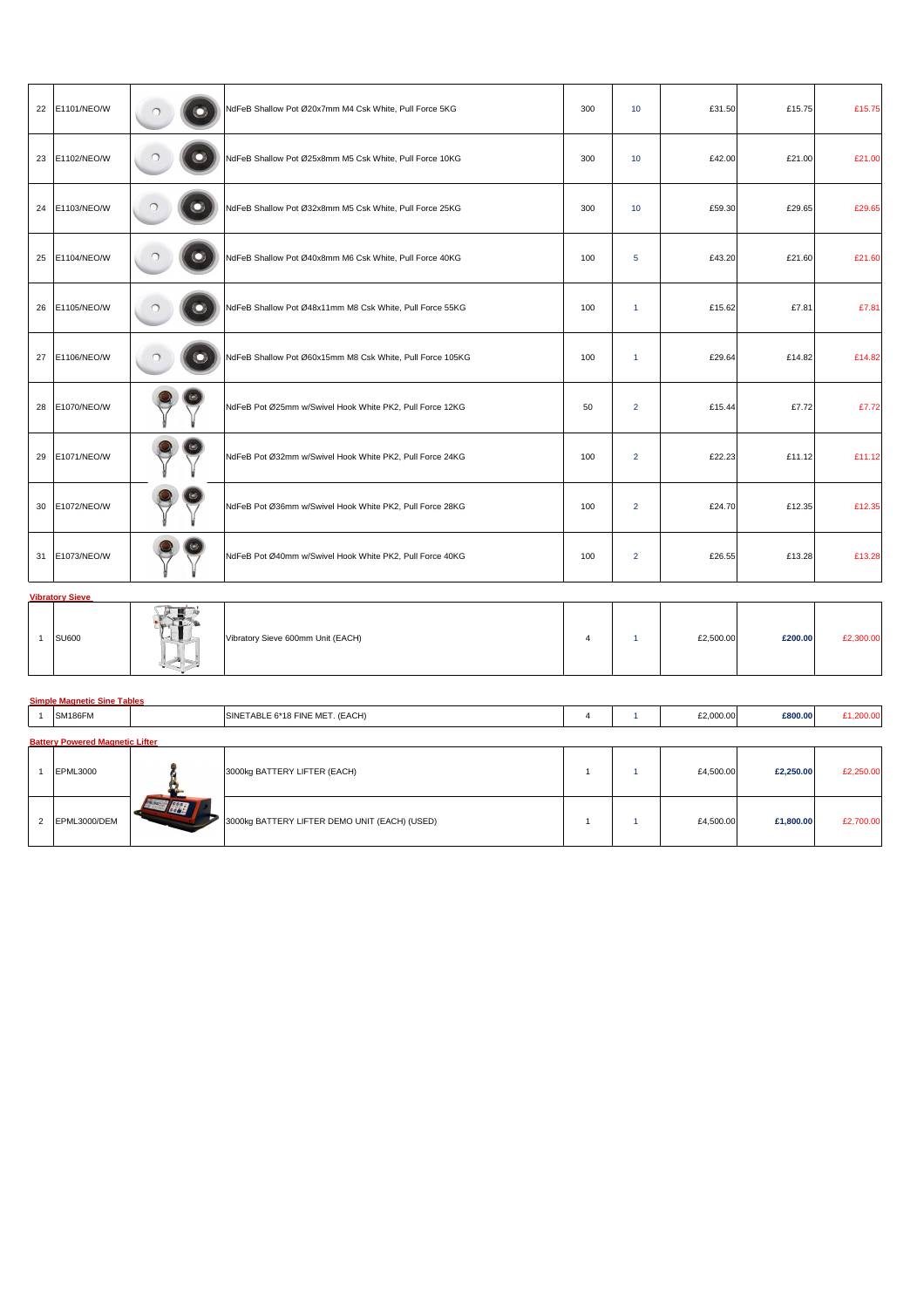| 22   E1101/NEO/W | $\ddot{\mathbf{O}}$      | NdFeB Shallow Pot Ø20x7mm M4 Csk White, Pull Force 5KG    | 300 | 10                   | £31.50 | £15.75 | £15.75 |
|------------------|--------------------------|-----------------------------------------------------------|-----|----------------------|--------|--------|--------|
| 23   E1102/NEO/W | $\odot$                  | NdFeB Shallow Pot Ø25x8mm M5 Csk White, Pull Force 10KG   | 300 | 10                   | £42.00 | £21.00 | £21.00 |
| 24   E1103/NEO/W | $\left( \bullet \right)$ | NdFeB Shallow Pot Ø32x8mm M5 Csk White, Pull Force 25KG   | 300 | 10                   | £59.30 | £29.65 | £29.65 |
| 25   E1104/NEO/W | $\odot$                  | NdFeB Shallow Pot Ø40x8mm M6 Csk White, Pull Force 40KG   | 100 | $5\overline{)}$      | £43.20 | £21.60 | £21.60 |
| 26   E1105/NEO/W | $\odot$                  | NdFeB Shallow Pot Ø48x11mm M8 Csk White, Pull Force 55KG  | 100 | $\blacktriangleleft$ | £15.62 | £7.81  | £7.81  |
| 27   E1106/NEO/W | $\odot$                  | NdFeB Shallow Pot Ø60x15mm M8 Csk White, Pull Force 105KG | 100 | $\blacktriangleleft$ | £29.64 | £14.82 | £14.82 |
| 28 E1070/NEO/W   |                          | NdFeB Pot Ø25mm w/Swivel Hook White PK2, Pull Force 12KG  | 50  | $\overline{2}$       | £15.44 | £7.72  | £7.72  |
| 29 E1071/NEO/W   |                          | NdFeB Pot Ø32mm w/Swivel Hook White PK2, Pull Force 24KG  | 100 | $\overline{2}$       | £22.23 | £11.12 | £11.12 |
| 30   E1072/NEO/W |                          | NdFeB Pot Ø36mm w/Swivel Hook White PK2, Pull Force 28KG  | 100 | $\overline{2}$       | £24.70 | £12.35 | £12.35 |
| 31   E1073/NEO/W |                          | NdFeB Pot Ø40mm w/Swivel Hook White PK2, Pull Force 40KG  | 100 | $\overline{2}$       | £26.55 | £13.28 | £13.28 |

# **Vibratory Sieve**



| ISU600 | $\overline{\phantom{a}}$<br>Supports. | Vibratory Sieve 600mm Unit (EACH) |  | £2,500.00 | £200.00 |  |
|--------|---------------------------------------|-----------------------------------|--|-----------|---------|--|
|        |                                       |                                   |  |           |         |  |

# **Simple Magnetic Sine Tables**

| SM186FM | $\sim$ $\sim$ $\sim$<br>: MET.<br>} FINE<br>- ^**^<br>$\sim$ $\sim$ $\sim$ $\sim$<br>(EACH)<br>ISIN.<br>ABI.<br>. . |  | £2,000.00<br>the contract of the contract of the contract of the contract of the contract of the contract of the contract of | £800.00 |  |
|---------|---------------------------------------------------------------------------------------------------------------------|--|------------------------------------------------------------------------------------------------------------------------------|---------|--|
|         |                                                                                                                     |  |                                                                                                                              |         |  |

## **Battery Powered Magnetic Lifter**

|                | <b>EPML3000</b> | 3000kg BATTERY LIFTER (EACH)                  |  | £4,500.00 | £2,250.00 | £2,250.00 |
|----------------|-----------------|-----------------------------------------------|--|-----------|-----------|-----------|
| $\overline{2}$ | EPML3000/DEM    | 3000kg BATTERY LIFTER DEMO UNIT (EACH) (USED) |  | £4,500.00 | £1,800.00 | £2,700.00 |